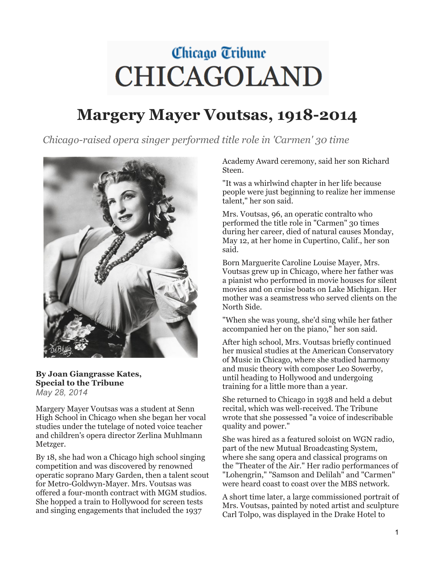## Chicago Tribune **CHICAGOLAND**

## **Margery Mayer Voutsas, 1918-2014**

*Chicago-raised opera singer performed title role in 'Carmen' 30 time*



**By Joan Giangrasse Kates, Special to the Tribune** *May 28, 2014*

Margery Mayer Voutsas was a student at Senn High School in Chicago when she began her vocal studies under the tutelage of noted voice teacher and children's opera director Zerlina Muhlmann Metzger.

By 18, she had won a Chicago high school singing competition and was discovered by renowned operatic soprano Mary Garden, then a talent scout for Metro-Goldwyn-Mayer. Mrs. Voutsas was offered a four-month contract with MGM studios. She hopped a train to Hollywood for screen tests and singing engagements that included the 1937

Academy Award ceremony, said her son Richard Steen.

"It was a whirlwind chapter in her life because people were just beginning to realize her immense talent," her son said.

Mrs. Voutsas, 96, an operatic contralto who performed the title role in "Carmen" 30 times during her career, died of natural causes Monday, May 12, at her home in Cupertino, Calif., her son said.

Born Marguerite Caroline Louise Mayer, Mrs. Voutsas grew up in Chicago, where her father was a pianist who performed in movie houses for silent movies and on cruise boats on Lake Michigan. Her mother was a seamstress who served clients on the North Side.

"When she was young, she'd sing while her father accompanied her on the piano," her son said.

After high school, Mrs. Voutsas briefly continued her musical studies at the American Conservatory of Music in Chicago, where she studied harmony and music theory with composer Leo Sowerby, until heading to Hollywood and undergoing training for a little more than a year.

She returned to Chicago in 1938 and held a debut recital, which was well-received. The Tribune wrote that she possessed "a voice of indescribable quality and power."

She was hired as a featured soloist on WGN radio, part of the new Mutual Broadcasting System, where she sang opera and classical programs on the "Theater of the Air." Her radio performances of "Lohengrin," "Samson and Delilah" and "Carmen" were heard coast to coast over the MBS network.

A short time later, a large commissioned portrait of Mrs. Voutsas, painted by noted artist and sculpture Carl Tolpo, was displayed in the Drake Hotel to